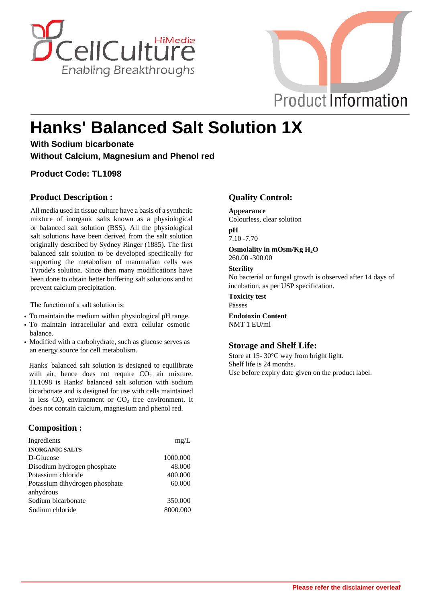



# **Hanks' Balanced Salt Solution 1X**

**With Sodium bicarbonate Without Calcium, Magnesium and Phenol red**

#### **Product Code: TL1098**

#### **Product Description :**

All media used in tissue culture have a basis of a synthetic mixture of inorganic salts known as a physiological or balanced salt solution (BSS). All the physiological salt solutions have been derived from the salt solution originally described by Sydney Ringer (1885). The first balanced salt solution to be developed specifically for supporting the metabolism of mammalian cells was Tyrode's solution. Since then many modifications have been done to obtain better buffering salt solutions and to prevent calcium precipitation.

The function of a salt solution is:

- **·** To maintain the medium within physiological pH range.
- **·** To maintain intracellular and extra cellular osmotic balance.
- **·** Modified with a carbohydrate, such as glucose serves as an energy source for cell metabolism.

Hanks' balanced salt solution is designed to equilibrate with air, hence does not require  $CO<sub>2</sub>$  air mixture. TL1098 is Hanks' balanced salt solution with sodium bicarbonate and is designed for use with cells maintained in less  $CO<sub>2</sub>$  environment or  $CO<sub>2</sub>$  free environment. It does not contain calcium, magnesium and phenol red.

#### **Composition :**

| Ingredients                    | mg/L     |
|--------------------------------|----------|
| <b>INORGANIC SALTS</b>         |          |
| D-Glucose                      | 1000.000 |
| Disodium hydrogen phosphate    | 48.000   |
| Potassium chloride             | 400.000  |
| Potassium dihydrogen phosphate | 60.000   |
| anhydrous                      |          |
| Sodium bicarbonate             | 350.000  |
| Sodium chloride                | 8000.000 |

#### **Quality Control:**

**Appearance** Colourless, clear solution

### **pH**

7.10 -7.70

**Osmolality in mOsm/Kg H2O** 260.00 -300.00

#### **Sterility**

No bacterial or fungal growth is observed after 14 days of incubation, as per USP specification.

**Toxicity test** Passes

**Endotoxin Content** NMT 1 EU/ml

#### **Storage and Shelf Life:**

Store at 15- 30°C way from bright light. Shelf life is 24 months. Use before expiry date given on the product label.